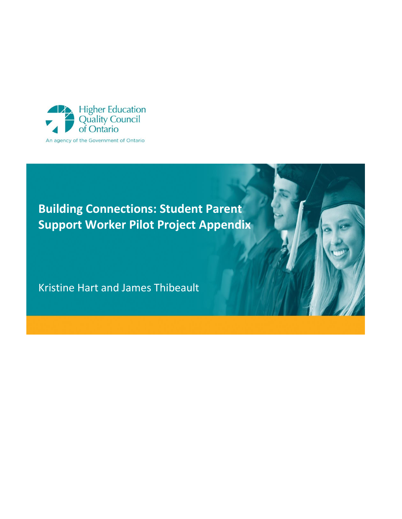

# **Building Connections: Student Parent Support Worker Pilot Project Appendix**

Kristine Hart and James Thibeault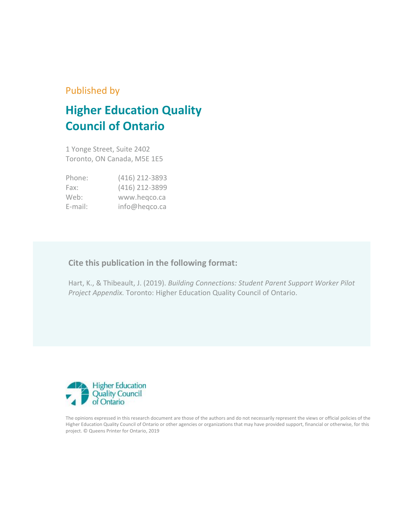### Published by

## **Higher Education Quality Council of Ontario**

1 Yonge Street, Suite 2402 Toronto, ON Canada, M5E 1E5

| Phone:     | (416) 212-3893 |
|------------|----------------|
| Fax:       | (416) 212-3899 |
| Web:       | www.hegco.ca   |
| $E$ -mail: | info@heqco.ca  |

### **Cite this publication in the following format:**

Hart, K., & Thibeault, J. (2019). *Building Connections: Student Parent Support Worker Pilot Project Appendix.* Toronto: Higher Education Quality Council of Ontario.



The opinions expressed in this research document are those of the authors and do not necessarily represent the views or official policies of the Higher Education Quality Council of Ontario or other agencies or organizations that may have provided support, financial or otherwise, for this project. © Queens Printer for Ontario, 2019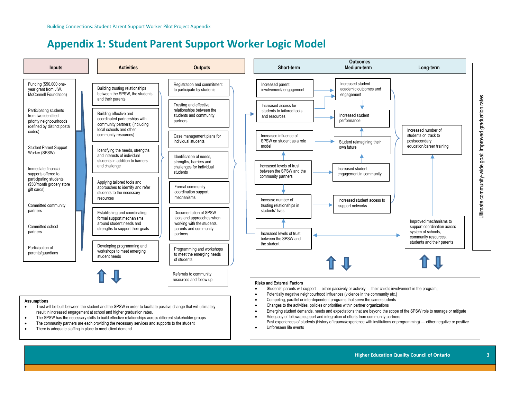### **Appendix 1: Student Parent Support Worker Logic Model**



Unforeseen life events

- The SPSW has the necessary skills to build effective relationships across different stakeholder groups
- The community partners are each providing the necessary services and supports to the student
- There is adequate staffing in place to meet client demand

Past experiences of students (history of trauma/experience with institutions or programming) — either negative or positive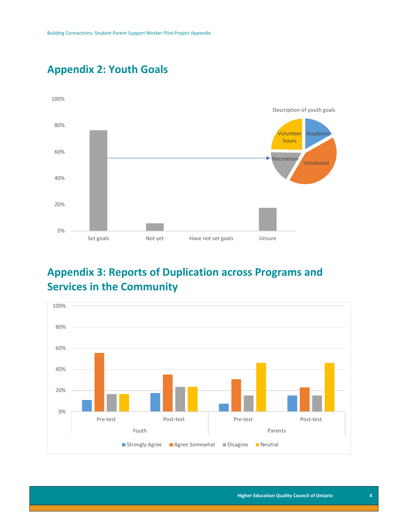

### **Appendix 2: Youth Goals**

## **Appendix 3: Reports of Duplication across Programs and Services in the Community**

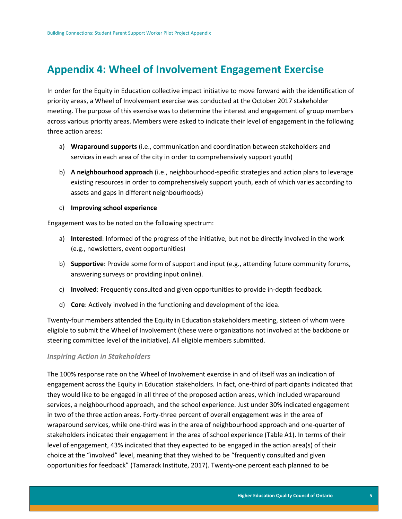### **Appendix 4: Wheel of Involvement Engagement Exercise**

In order for the Equity in Education collective impact initiative to move forward with the identification of priority areas, a Wheel of Involvement exercise was conducted at the October 2017 stakeholder meeting. The purpose of this exercise was to determine the interest and engagement of group members across various priority areas. Members were asked to indicate their level of engagement in the following three action areas:

- a) **Wraparound supports** (i.e., communication and coordination between stakeholders and services in each area of the city in order to comprehensively support youth)
- b) **A neighbourhood approach** (i.e., neighbourhood-specific strategies and action plans to leverage existing resources in order to comprehensively support youth, each of which varies according to assets and gaps in different neighbourhoods)

#### c) **Improving school experience**

Engagement was to be noted on the following spectrum:

- a) **Interested**: Informed of the progress of the initiative, but not be directly involved in the work (e.g., newsletters, event opportunities)
- b) **Supportive**: Provide some form of support and input (e.g., attending future community forums, answering surveys or providing input online).
- c) **Involved**: Frequently consulted and given opportunities to provide in-depth feedback.
- d) **Core**: Actively involved in the functioning and development of the idea.

Twenty-four members attended the Equity in Education stakeholders meeting, sixteen of whom were eligible to submit the Wheel of Involvement (these were organizations not involved at the backbone or steering committee level of the initiative). All eligible members submitted.

#### *Inspiring Action in Stakeholders*

The 100% response rate on the Wheel of Involvement exercise in and of itself was an indication of engagement across the Equity in Education stakeholders. In fact, one-third of participants indicated that they would like to be engaged in all three of the proposed action areas, which included wraparound services, a neighbourhood approach, and the school experience. Just under 30% indicated engagement in two of the three action areas. Forty-three percent of overall engagement was in the area of wraparound services, while one-third was in the area of neighbourhood approach and one-quarter of stakeholders indicated their engagement in the area of school experience (Table A1). In terms of their level of engagement, 43% indicated that they expected to be engaged in the action area(s) of their choice at the "involved" level, meaning that they wished to be "frequently consulted and given opportunities for feedback" (Tamarack Institute, 2017). Twenty-one percent each planned to be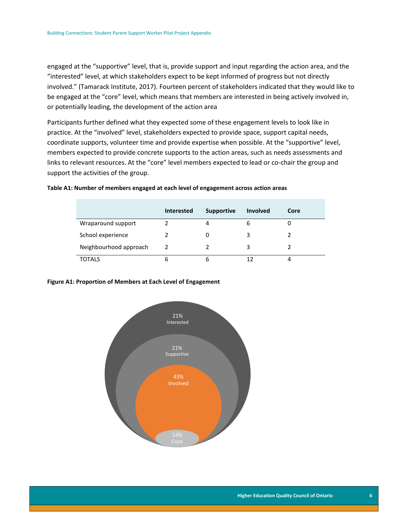engaged at the "supportive" level, that is, provide support and input regarding the action area, and the "interested" level, at which stakeholders expect to be kept informed of progress but not directly involved." (Tamarack Institute, 2017). Fourteen percent of stakeholders indicated that they would like to be engaged at the "core" level, which means that members are interested in being actively involved in, or potentially leading, the development of the action area

Participants further defined what they expected some of these engagement levels to look like in practice. At the "involved" level, stakeholders expected to provide space, support capital needs, coordinate supports, volunteer time and provide expertise when possible. At the "supportive" level, members expected to provide concrete supports to the action areas, such as needs assessments and links to relevant resources. At the "core" level members expected to lead or co-chair the group and support the activities of the group.

|                        | <b>Interested</b> | <b>Supportive</b> | <b>Involved</b> | Core |
|------------------------|-------------------|-------------------|-----------------|------|
| Wraparound support     |                   |                   | 6               |      |
| School experience      |                   |                   | 3               |      |
| Neighbourhood approach | 2                 | 2                 | 3               |      |
| <b>TOTALS</b>          | 6                 | 6                 | 12              | 4    |

#### **Table A1: Number of members engaged at each level of engagement across action areas**

#### **Figure A1: Proportion of Members at Each Level of Engagement**

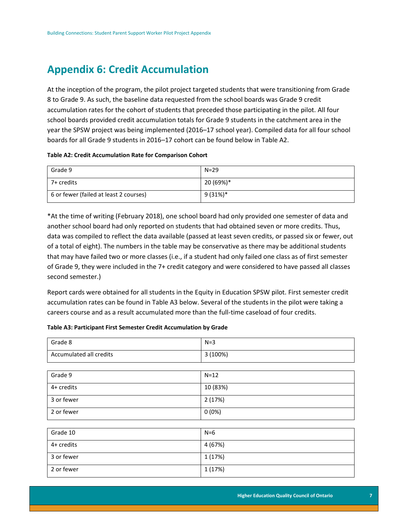### **Appendix 6: Credit Accumulation**

At the inception of the program, the pilot project targeted students that were transitioning from Grade 8 to Grade 9. As such, the baseline data requested from the school boards was Grade 9 credit accumulation rates for the cohort of students that preceded those participating in the pilot. All four school boards provided credit accumulation totals for Grade 9 students in the catchment area in the year the SPSW project was being implemented (2016–17 school year). Compiled data for all four school boards for all Grade 9 students in 2016–17 cohort can be found below in Table A2.

#### **Table A2: Credit Accumulation Rate for Comparison Cohort**

| Grade 9                                | $N = 29$   |
|----------------------------------------|------------|
| 7+ credits                             | 20 (69%)*  |
| 6 or fewer (failed at least 2 courses) | $9(31\%)*$ |

\*At the time of writing (February 2018), one school board had only provided one semester of data and another school board had only reported on students that had obtained seven or more credits. Thus, data was compiled to reflect the data available (passed at least seven credits, or passed six or fewer, out of a total of eight). The numbers in the table may be conservative as there may be additional students that may have failed two or more classes (i.e., if a student had only failed one class as of first semester of Grade 9, they were included in the 7+ credit category and were considered to have passed all classes second semester.)

Report cards were obtained for all students in the Equity in Education SPSW pilot. First semester credit accumulation rates can be found in Table A3 below. Several of the students in the pilot were taking a careers course and as a result accumulated more than the full-time caseload of four credits.

#### **Table A3: Participant First Semester Credit Accumulation by Grade**

| Grade 8                 | $N=3$    |
|-------------------------|----------|
| Accumulated all credits | 3 (100%) |
|                         |          |
| Grade 9                 | $N=12$   |
| 4+ credits              | 10 (83%) |
| 3 or fewer              | 2(17%)   |
| 2 or fewer              | 0(0%)    |
|                         |          |
| Grade 10                | $N=6$    |
| 4+ credits              | 4 (67%)  |
| 3 or fewer              | 1 (17%)  |
| 2 or fewer              | 1 (17%)  |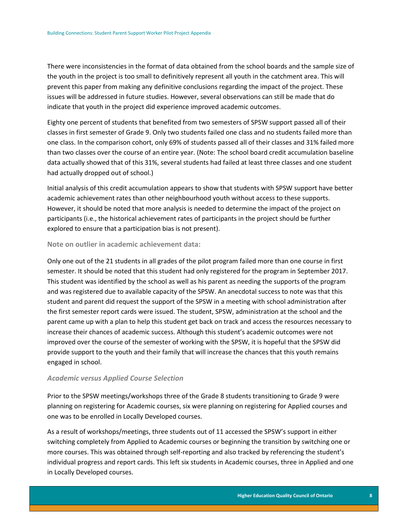There were inconsistencies in the format of data obtained from the school boards and the sample size of the youth in the project is too small to definitively represent all youth in the catchment area. This will prevent this paper from making any definitive conclusions regarding the impact of the project. These issues will be addressed in future studies. However, several observations can still be made that do indicate that youth in the project did experience improved academic outcomes.

Eighty one percent of students that benefited from two semesters of SPSW support passed all of their classes in first semester of Grade 9. Only two students failed one class and no students failed more than one class. In the comparison cohort, only 69% of students passed all of their classes and 31% failed more than two classes over the course of an entire year. (Note: The school board credit accumulation baseline data actually showed that of this 31%, several students had failed at least three classes and one student had actually dropped out of school.)

Initial analysis of this credit accumulation appears to show that students with SPSW support have better academic achievement rates than other neighbourhood youth without access to these supports. However, it should be noted that more analysis is needed to determine the impact of the project on participants (i.e., the historical achievement rates of participants in the project should be further explored to ensure that a participation bias is not present).

#### **Note on outlier in academic achievement data:**

Only one out of the 21 students in all grades of the pilot program failed more than one course in first semester. It should be noted that this student had only registered for the program in September 2017. This student was identified by the school as well as his parent as needing the supports of the program and was registered due to available capacity of the SPSW. An anecdotal success to note was that this student and parent did request the support of the SPSW in a meeting with school administration after the first semester report cards were issued. The student, SPSW, administration at the school and the parent came up with a plan to help this student get back on track and access the resources necessary to increase their chances of academic success. Although this student's academic outcomes were not improved over the course of the semester of working with the SPSW, it is hopeful that the SPSW did provide support to the youth and their family that will increase the chances that this youth remains engaged in school.

#### *Academic versus Applied Course Selection*

Prior to the SPSW meetings/workshops three of the Grade 8 students transitioning to Grade 9 were planning on registering for Academic courses, six were planning on registering for Applied courses and one was to be enrolled in Locally Developed courses.

As a result of workshops/meetings, three students out of 11 accessed the SPSW's support in either switching completely from Applied to Academic courses or beginning the transition by switching one or more courses. This was obtained through self-reporting and also tracked by referencing the student's individual progress and report cards. This left six students in Academic courses, three in Applied and one in Locally Developed courses.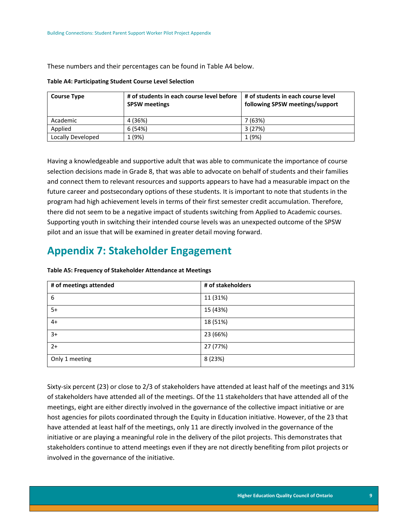These numbers and their percentages can be found in Table A4 below.

|  | <b>Table A4: Participating Student Course Level Selection</b> |  |  |  |
|--|---------------------------------------------------------------|--|--|--|
|--|---------------------------------------------------------------|--|--|--|

| <b>Course Type</b> | # of students in each course level before  <br><b>SPSW meetings</b> | # of students in each course level<br>following SPSW meetings/support |
|--------------------|---------------------------------------------------------------------|-----------------------------------------------------------------------|
| Academic           | 4 (36%)                                                             | 7 (63%)                                                               |
| Applied            | 6 (54%)                                                             | 3(27%)                                                                |
| Locally Developed  | 1 (9%)                                                              | 1 (9%)                                                                |

Having a knowledgeable and supportive adult that was able to communicate the importance of course selection decisions made in Grade 8, that was able to advocate on behalf of students and their families and connect them to relevant resources and supports appears to have had a measurable impact on the future career and postsecondary options of these students. It is important to note that students in the program had high achievement levels in terms of their first semester credit accumulation. Therefore, there did not seem to be a negative impact of students switching from Applied to Academic courses. Supporting youth in switching their intended course levels was an unexpected outcome of the SPSW pilot and an issue that will be examined in greater detail moving forward.

### **Appendix 7: Stakeholder Engagement**

| # of meetings attended | # of stakeholders |
|------------------------|-------------------|
| 6                      | 11 (31%)          |
| $5+$                   | 15 (43%)          |
| $4+$                   | 18 (51%)          |
| $3+$                   | 23 (66%)          |
| $2+$                   | 27 (77%)          |
| Only 1 meeting         | 8 (23%)           |

**Table A5: Frequency of Stakeholder Attendance at Meetings**

Sixty-six percent (23) or close to 2/3 of stakeholders have attended at least half of the meetings and 31% of stakeholders have attended all of the meetings. Of the 11 stakeholders that have attended all of the meetings, eight are either directly involved in the governance of the collective impact initiative or are host agencies for pilots coordinated through the Equity in Education initiative. However, of the 23 that have attended at least half of the meetings, only 11 are directly involved in the governance of the initiative or are playing a meaningful role in the delivery of the pilot projects. This demonstrates that stakeholders continue to attend meetings even if they are not directly benefiting from pilot projects or involved in the governance of the initiative.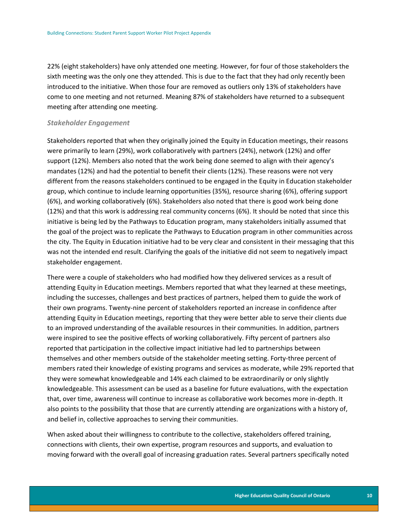22% (eight stakeholders) have only attended one meeting. However, for four of those stakeholders the sixth meeting was the only one they attended. This is due to the fact that they had only recently been introduced to the initiative. When those four are removed as outliers only 13% of stakeholders have come to one meeting and not returned. Meaning 87% of stakeholders have returned to a subsequent meeting after attending one meeting.

#### *Stakeholder Engagement*

Stakeholders reported that when they originally joined the Equity in Education meetings, their reasons were primarily to learn (29%), work collaboratively with partners (24%), network (12%) and offer support (12%). Members also noted that the work being done seemed to align with their agency's mandates (12%) and had the potential to benefit their clients (12%). These reasons were not very different from the reasons stakeholders continued to be engaged in the Equity in Education stakeholder group, which continue to include learning opportunities (35%), resource sharing (6%), offering support (6%), and working collaboratively (6%). Stakeholders also noted that there is good work being done (12%) and that this work is addressing real community concerns (6%). It should be noted that since this initiative is being led by the Pathways to Education program, many stakeholders initially assumed that the goal of the project was to replicate the Pathways to Education program in other communities across the city. The Equity in Education initiative had to be very clear and consistent in their messaging that this was not the intended end result. Clarifying the goals of the initiative did not seem to negatively impact stakeholder engagement.

There were a couple of stakeholders who had modified how they delivered services as a result of attending Equity in Education meetings. Members reported that what they learned at these meetings, including the successes, challenges and best practices of partners, helped them to guide the work of their own programs. Twenty-nine percent of stakeholders reported an increase in confidence after attending Equity in Education meetings, reporting that they were better able to serve their clients due to an improved understanding of the available resources in their communities. In addition, partners were inspired to see the positive effects of working collaboratively. Fifty percent of partners also reported that participation in the collective impact initiative had led to partnerships between themselves and other members outside of the stakeholder meeting setting. Forty-three percent of members rated their knowledge of existing programs and services as moderate, while 29% reported that they were somewhat knowledgeable and 14% each claimed to be extraordinarily or only slightly knowledgeable. This assessment can be used as a baseline for future evaluations, with the expectation that, over time, awareness will continue to increase as collaborative work becomes more in-depth. It also points to the possibility that those that are currently attending are organizations with a history of, and belief in, collective approaches to serving their communities.

When asked about their willingness to contribute to the collective, stakeholders offered training, connections with clients, their own expertise, program resources and supports, and evaluation to moving forward with the overall goal of increasing graduation rates. Several partners specifically noted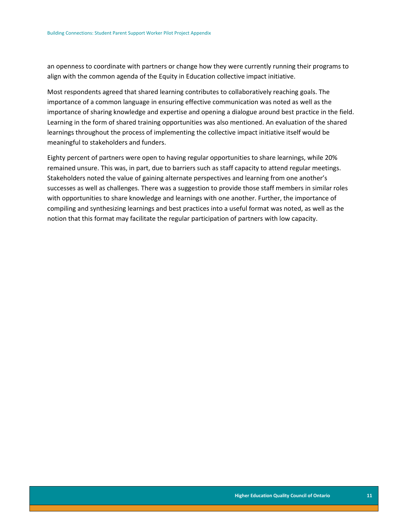an openness to coordinate with partners or change how they were currently running their programs to align with the common agenda of the Equity in Education collective impact initiative.

Most respondents agreed that shared learning contributes to collaboratively reaching goals. The importance of a common language in ensuring effective communication was noted as well as the importance of sharing knowledge and expertise and opening a dialogue around best practice in the field. Learning in the form of shared training opportunities was also mentioned. An evaluation of the shared learnings throughout the process of implementing the collective impact initiative itself would be meaningful to stakeholders and funders.

Eighty percent of partners were open to having regular opportunities to share learnings, while 20% remained unsure. This was, in part, due to barriers such as staff capacity to attend regular meetings. Stakeholders noted the value of gaining alternate perspectives and learning from one another's successes as well as challenges. There was a suggestion to provide those staff members in similar roles with opportunities to share knowledge and learnings with one another. Further, the importance of compiling and synthesizing learnings and best practices into a useful format was noted, as well as the notion that this format may facilitate the regular participation of partners with low capacity.